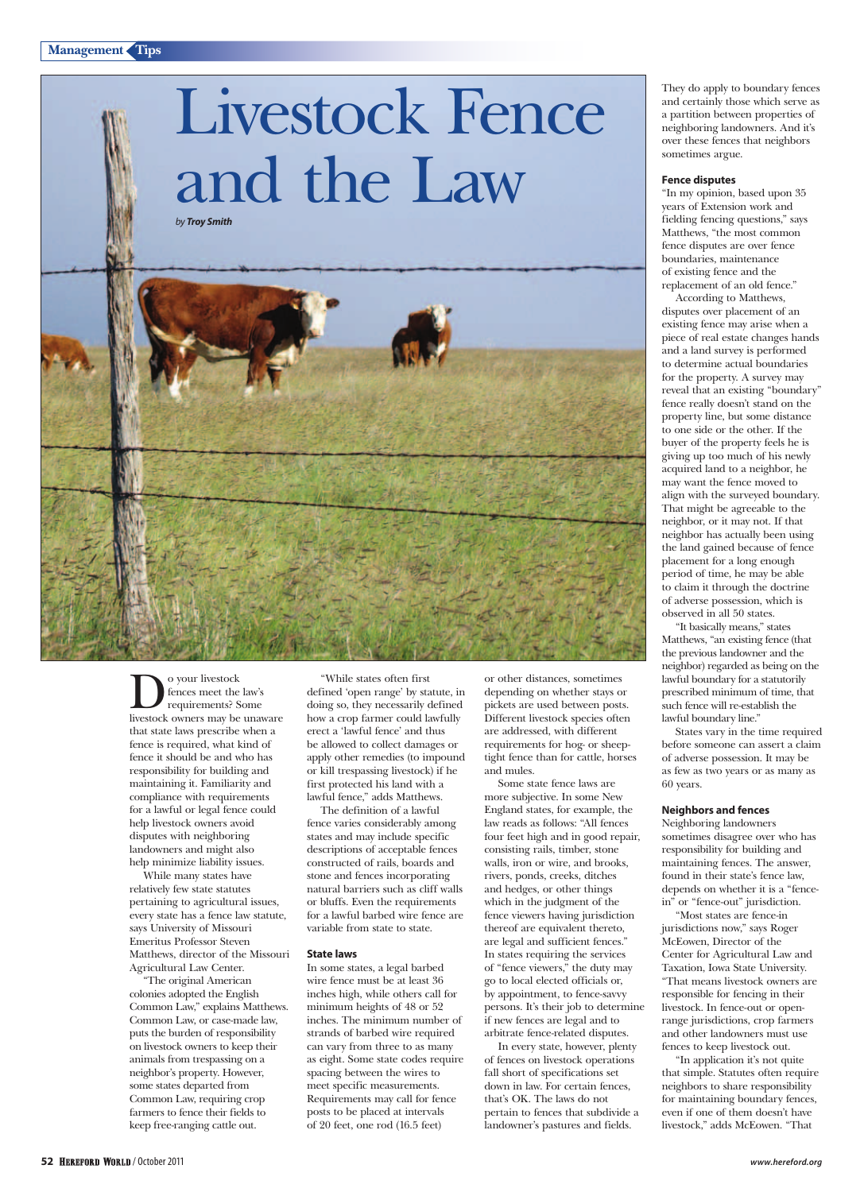# Livestock Fence and the Law

*by Troy Smith*



 $\sum_{\substack{ \text{for } \text{converse tree} \\ \text{requirements?} \\ \text{lowest} \text{ owners may be}}}$ fences meet the law's requirements? Some livestock owners may be unaware that state laws prescribe when a fence is required, what kind of fence it should be and who has responsibility for building and maintaining it. Familiarity and compliance with requirements for a lawful or legal fence could help livestock owners avoid disputes with neighboring landowners and might also help minimize liability issues.

While many states have relatively few state statutes pertaining to agricultural issues, every state has a fence law statute, says University of Missouri Emeritus Professor Steven Matthews, director of the Missouri Agricultural Law Center.

"The original American colonies adopted the English Common Law," explains Matthews. Common Law, or case-made law, puts the burden of responsibility on livestock owners to keep their animals from trespassing on a neighbor's property. However, some states departed from Common Law, requiring crop farmers to fence their fields to keep free-ranging cattle out.

"While states often first defined 'open range' by statute, in doing so, they necessarily defined how a crop farmer could lawfully erect a 'lawful fence' and thus be allowed to collect damages or apply other remedies (to impound or kill trespassing livestock) if he first protected his land with a lawful fence," adds Matthews.

The definition of a lawful fence varies considerably among states and may include specific descriptions of acceptable fences constructed of rails, boards and stone and fences incorporating natural barriers such as cliff walls or bluffs. Even the requirements for a lawful barbed wire fence are variable from state to state.

#### **State laws**

In some states, a legal barbed wire fence must be at least 36 inches high, while others call for minimum heights of 48 or 52 inches. The minimum number of strands of barbed wire required can vary from three to as many as eight. Some state codes require spacing between the wires to meet specific measurements. Requirements may call for fence posts to be placed at intervals of 20 feet, one rod (16.5 feet)

or other distances, sometimes depending on whether stays or pickets are used between posts. Different livestock species often are addressed, with different requirements for hog- or sheeptight fence than for cattle, horses and mules.

Some state fence laws are more subjective. In some New England states, for example, the law reads as follows: "All fences four feet high and in good repair, consisting rails, timber, stone walls, iron or wire, and brooks, rivers, ponds, creeks, ditches and hedges, or other things which in the judgment of the fence viewers having jurisdiction thereof are equivalent thereto, are legal and sufficient fences." In states requiring the services of "fence viewers," the duty may go to local elected officials or, by appointment, to fence-savvy persons. It's their job to determine if new fences are legal and to arbitrate fence-related disputes.

In every state, however, plenty of fences on livestock operations fall short of specifications set down in law. For certain fences, that's OK. The laws do not pertain to fences that subdivide a landowner's pastures and fields.

They do apply to boundary fences and certainly those which serve as a partition between properties of neighboring landowners. And it's over these fences that neighbors sometimes argue.

#### **Fence disputes**

"In my opinion, based upon 35 years of Extension work and fielding fencing questions," says Matthews, "the most common fence disputes are over fence boundaries, maintenance of existing fence and the replacement of an old fence."

According to Matthews, disputes over placement of an existing fence may arise when a piece of real estate changes hands and a land survey is performed to determine actual boundaries for the property. A survey may reveal that an existing "boundary" fence really doesn't stand on the property line, but some distance to one side or the other. If the buyer of the property feels he is giving up too much of his newly acquired land to a neighbor, he may want the fence moved to align with the surveyed boundary. That might be agreeable to the neighbor, or it may not. If that neighbor has actually been using the land gained because of fence placement for a long enough period of time, he may be able to claim it through the doctrine of adverse possession, which is observed in all 50 states.

"It basically means," states Matthews, "an existing fence (that the previous landowner and the neighbor) regarded as being on the lawful boundary for a statutorily prescribed minimum of time, that such fence will re-establish the lawful boundary line."

States vary in the time required before someone can assert a claim of adverse possession. It may be as few as two years or as many as 60 years.

#### **Neighbors and fences**

Neighboring landowners sometimes disagree over who has responsibility for building and maintaining fences. The answer, found in their state's fence law, depends on whether it is a "fencein" or "fence-out" jurisdiction.

"Most states are fence-in jurisdictions now," says Roger McEowen, Director of the Center for Agricultural Law and Taxation, Iowa State University. "That means livestock owners are responsible for fencing in their livestock. In fence-out or openrange jurisdictions, crop farmers and other landowners must use fences to keep livestock out.

"In application it's not quite that simple. Statutes often require neighbors to share responsibility for maintaining boundary fences, even if one of them doesn't have livestock," adds McEowen. "That